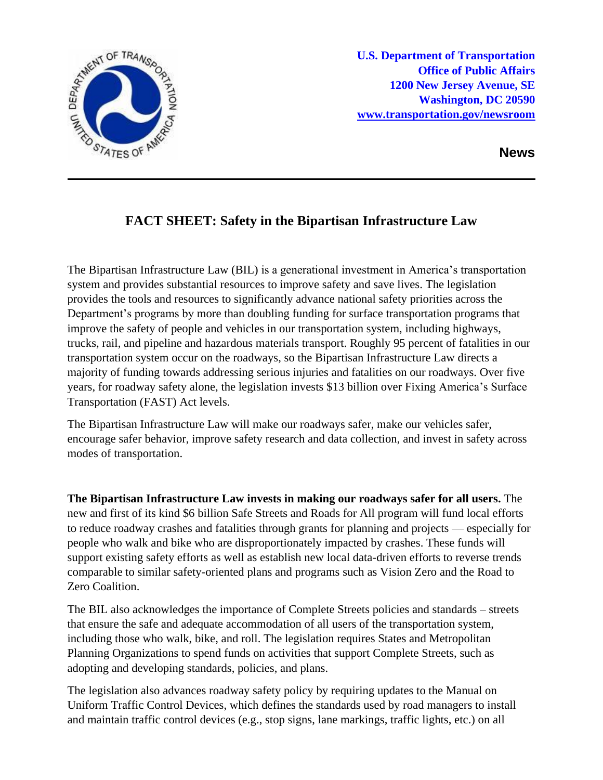

**News**

## **FACT SHEET: Safety in the Bipartisan Infrastructure Law**

The Bipartisan Infrastructure Law (BIL) is a generational investment in America's transportation system and provides substantial resources to improve safety and save lives. The legislation provides the tools and resources to significantly advance national safety priorities across the Department's programs by more than doubling funding for surface transportation programs that improve the safety of people and vehicles in our transportation system, including highways, trucks, rail, and pipeline and hazardous materials transport. Roughly 95 percent of fatalities in our transportation system occur on the roadways, so the Bipartisan Infrastructure Law directs a majority of funding towards addressing serious injuries and fatalities on our roadways. Over five years, for roadway safety alone, the legislation invests \$13 billion over Fixing America's Surface Transportation (FAST) Act levels.

The Bipartisan Infrastructure Law will make our roadways safer, make our vehicles safer, encourage safer behavior, improve safety research and data collection, and invest in safety across modes of transportation.

**The Bipartisan Infrastructure Law invests in making our roadways safer for all users.** The new and first of its kind \$6 billion Safe Streets and Roads for All program will fund local efforts to reduce roadway crashes and fatalities through grants for planning and projects — especially for people who walk and bike who are disproportionately impacted by crashes. These funds will support existing safety efforts as well as establish new local data-driven efforts to reverse trends comparable to similar safety-oriented plans and programs such as Vision Zero and the Road to Zero Coalition.

The BIL also acknowledges the importance of Complete Streets policies and standards – streets that ensure the safe and adequate accommodation of all users of the transportation system, including those who walk, bike, and roll. The legislation requires States and Metropolitan Planning Organizations to spend funds on activities that support Complete Streets, such as adopting and developing standards, policies, and plans.

The legislation also advances roadway safety policy by requiring updates to the Manual on Uniform Traffic Control Devices, which defines the standards used by road managers to install and maintain traffic control devices (e.g., stop signs, lane markings, traffic lights, etc.) on all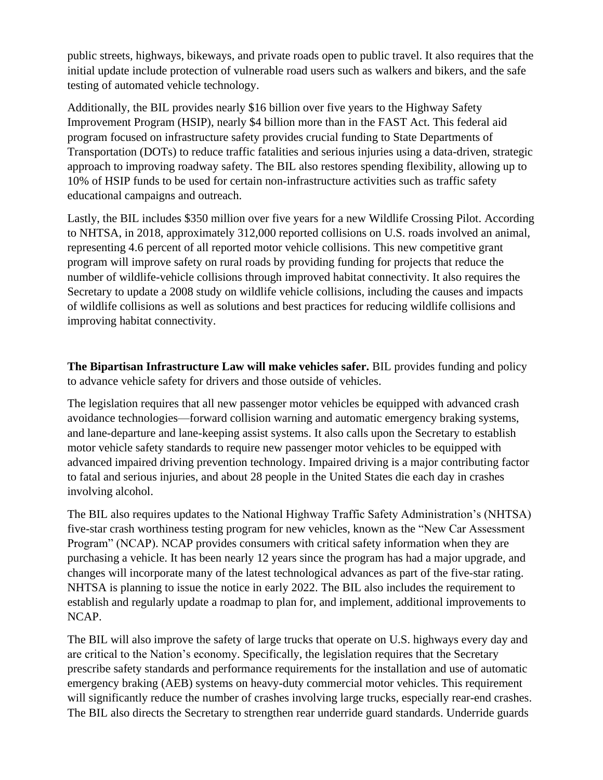public streets, highways, bikeways, and private roads open to public travel. It also requires that the initial update include protection of vulnerable road users such as walkers and bikers, and the safe testing of automated vehicle technology.

Additionally, the BIL provides nearly \$16 billion over five years to the Highway Safety Improvement Program (HSIP), nearly \$4 billion more than in the FAST Act. This federal aid program focused on infrastructure safety provides crucial funding to State Departments of Transportation (DOTs) to reduce traffic fatalities and serious injuries using a data-driven, strategic approach to improving roadway safety. The BIL also restores spending flexibility, allowing up to 10% of HSIP funds to be used for certain non-infrastructure activities such as traffic safety educational campaigns and outreach.

Lastly, the BIL includes \$350 million over five years for a new Wildlife Crossing Pilot. According to NHTSA, in 2018, approximately 312,000 reported collisions on U.S. roads involved an animal, representing 4.6 percent of all reported motor vehicle collisions. This new competitive grant program will improve safety on rural roads by providing funding for projects that reduce the number of wildlife-vehicle collisions through improved habitat connectivity. It also requires the Secretary to update a 2008 study on wildlife vehicle collisions, including the causes and impacts of wildlife collisions as well as solutions and best practices for reducing wildlife collisions and improving habitat connectivity.

**The Bipartisan Infrastructure Law will make vehicles safer.** BIL provides funding and policy to advance vehicle safety for drivers and those outside of vehicles.

The legislation requires that all new passenger motor vehicles be equipped with advanced crash avoidance technologies—forward collision warning and automatic emergency braking systems, and lane-departure and lane-keeping assist systems. It also calls upon the Secretary to establish motor vehicle safety standards to require new passenger motor vehicles to be equipped with advanced impaired driving prevention technology. Impaired driving is a major contributing factor to fatal and serious injuries, and about 28 people in the United States die each day in crashes involving alcohol.

The BIL also requires updates to the National Highway Traffic Safety Administration's (NHTSA) five-star crash worthiness testing program for new vehicles, known as the "New Car Assessment Program" (NCAP). NCAP provides consumers with critical safety information when they are purchasing a vehicle. It has been nearly 12 years since the program has had a major upgrade, and changes will incorporate many of the latest technological advances as part of the five-star rating. NHTSA is planning to issue the notice in early 2022. The BIL also includes the requirement to establish and regularly update a roadmap to plan for, and implement, additional improvements to NCAP.

The BIL will also improve the safety of large trucks that operate on U.S. highways every day and are critical to the Nation's economy. Specifically, the legislation requires that the Secretary prescribe safety standards and performance requirements for the installation and use of automatic emergency braking (AEB) systems on heavy-duty commercial motor vehicles. This requirement will significantly reduce the number of crashes involving large trucks, especially rear-end crashes. The BIL also directs the Secretary to strengthen rear underride guard standards. Underride guards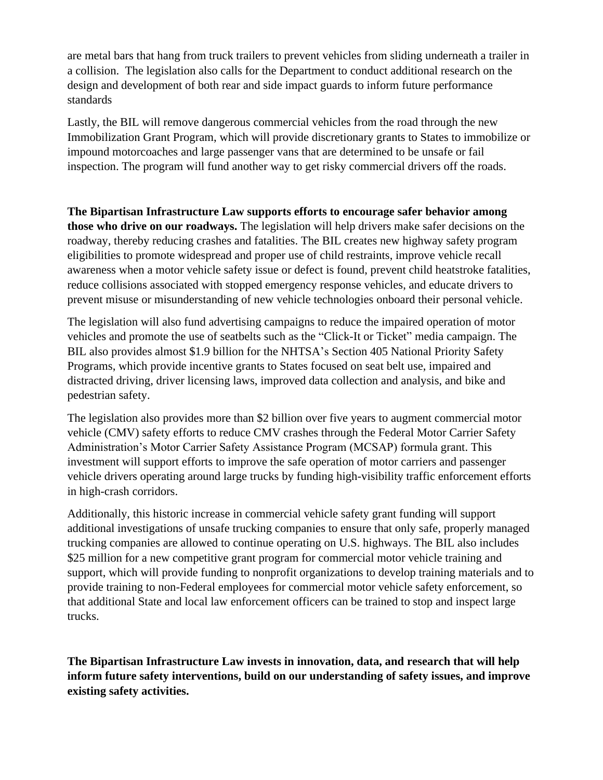are metal bars that hang from truck trailers to prevent vehicles from sliding underneath a trailer in a collision. The legislation also calls for the Department to conduct additional research on the design and development of both rear and side impact guards to inform future performance standards

Lastly, the BIL will remove dangerous commercial vehicles from the road through the new Immobilization Grant Program, which will provide discretionary grants to States to immobilize or impound motorcoaches and large passenger vans that are determined to be unsafe or fail inspection. The program will fund another way to get risky commercial drivers off the roads.

**The Bipartisan Infrastructure Law supports efforts to encourage safer behavior among those who drive on our roadways.** The legislation will help drivers make safer decisions on the roadway, thereby reducing crashes and fatalities. The BIL creates new highway safety program eligibilities to promote widespread and proper use of child restraints, improve vehicle recall awareness when a motor vehicle safety issue or defect is found, prevent child heatstroke fatalities, reduce collisions associated with stopped emergency response vehicles, and educate drivers to prevent misuse or misunderstanding of new vehicle technologies onboard their personal vehicle.

The legislation will also fund advertising campaigns to reduce the impaired operation of motor vehicles and promote the use of seatbelts such as the "Click-It or Ticket" media campaign. The BIL also provides almost \$1.9 billion for the NHTSA's Section 405 National Priority Safety Programs, which provide incentive grants to States focused on seat belt use, impaired and distracted driving, driver licensing laws, improved data collection and analysis, and bike and pedestrian safety.

The legislation also provides more than \$2 billion over five years to augment commercial motor vehicle (CMV) safety efforts to reduce CMV crashes through the Federal Motor Carrier Safety Administration's Motor Carrier Safety Assistance Program (MCSAP) formula grant. This investment will support efforts to improve the safe operation of motor carriers and passenger vehicle drivers operating around large trucks by funding high-visibility traffic enforcement efforts in high-crash corridors.

Additionally, this historic increase in commercial vehicle safety grant funding will support additional investigations of unsafe trucking companies to ensure that only safe, properly managed trucking companies are allowed to continue operating on U.S. highways. The BIL also includes \$25 million for a new competitive grant program for commercial motor vehicle training and support, which will provide funding to nonprofit organizations to develop training materials and to provide training to non-Federal employees for commercial motor vehicle safety enforcement, so that additional State and local law enforcement officers can be trained to stop and inspect large trucks.

**The Bipartisan Infrastructure Law invests in innovation, data, and research that will help inform future safety interventions, build on our understanding of safety issues, and improve existing safety activities.**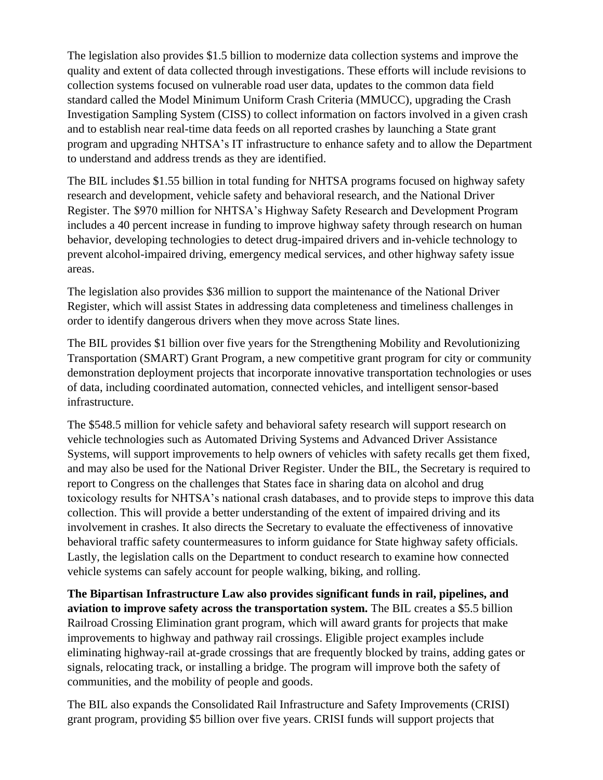The legislation also provides \$1.5 billion to modernize data collection systems and improve the quality and extent of data collected through investigations. These efforts will include revisions to collection systems focused on vulnerable road user data, updates to the common data field standard called the Model Minimum Uniform Crash Criteria (MMUCC), upgrading the Crash Investigation Sampling System (CISS) to collect information on factors involved in a given crash and to establish near real-time data feeds on all reported crashes by launching a State grant program and upgrading NHTSA's IT infrastructure to enhance safety and to allow the Department to understand and address trends as they are identified.

The BIL includes \$1.55 billion in total funding for NHTSA programs focused on highway safety research and development, vehicle safety and behavioral research, and the National Driver Register. The \$970 million for NHTSA's Highway Safety Research and Development Program includes a 40 percent increase in funding to improve highway safety through research on human behavior, developing technologies to detect drug-impaired drivers and in-vehicle technology to prevent alcohol-impaired driving, emergency medical services, and other highway safety issue areas.

The legislation also provides \$36 million to support the maintenance of the National Driver Register, which will assist States in addressing data completeness and timeliness challenges in order to identify dangerous drivers when they move across State lines.

The BIL provides \$1 billion over five years for the Strengthening Mobility and Revolutionizing Transportation (SMART) Grant Program, a new competitive grant program for city or community demonstration deployment projects that incorporate innovative transportation technologies or uses of data, including coordinated automation, connected vehicles, and intelligent sensor-based infrastructure.

The \$548.5 million for vehicle safety and behavioral safety research will support research on vehicle technologies such as Automated Driving Systems and Advanced Driver Assistance Systems, will support improvements to help owners of vehicles with safety recalls get them fixed, and may also be used for the National Driver Register. Under the BIL, the Secretary is required to report to Congress on the challenges that States face in sharing data on alcohol and drug toxicology results for NHTSA's national crash databases, and to provide steps to improve this data collection. This will provide a better understanding of the extent of impaired driving and its involvement in crashes. It also directs the Secretary to evaluate the effectiveness of innovative behavioral traffic safety countermeasures to inform guidance for State highway safety officials. Lastly, the legislation calls on the Department to conduct research to examine how connected vehicle systems can safely account for people walking, biking, and rolling.

**The Bipartisan Infrastructure Law also provides significant funds in rail, pipelines, and aviation to improve safety across the transportation system.** The BIL creates a \$5.5 billion Railroad Crossing Elimination grant program, which will award grants for projects that make improvements to highway and pathway rail crossings. Eligible project examples include eliminating highway-rail at-grade crossings that are frequently blocked by trains, adding gates or signals, relocating track, or installing a bridge. The program will improve both the safety of communities, and the mobility of people and goods.

The BIL also expands the Consolidated Rail Infrastructure and Safety Improvements (CRISI) grant program, providing \$5 billion over five years. CRISI funds will support projects that